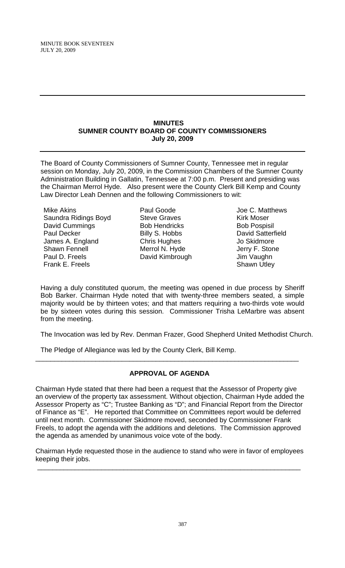#### **MINUTES SUMNER COUNTY BOARD OF COUNTY COMMISSIONERS July 20, 2009**

The Board of County Commissioners of Sumner County, Tennessee met in regular session on Monday, July 20, 2009, in the Commission Chambers of the Sumner County Administration Building in Gallatin, Tennessee at 7:00 p.m. Present and presiding was the Chairman Merrol Hyde. Also present were the County Clerk Bill Kemp and County Law Director Leah Dennen and the following Commissioners to wit:

Mike Akins Saundra Ridings Boyd David Cummings Paul Decker James A. England Shawn Fennell Paul D. Freels Frank E. Freels

Paul Goode Steve Graves Bob Hendricks Billy S. Hobbs Chris Hughes Merrol N. Hyde David Kimbrough

Joe C. Matthews Kirk Moser Bob Pospisil David Satterfield Jo Skidmore Jerry F. Stone Jim Vaughn Shawn Utley

Having a duly constituted quorum, the meeting was opened in due process by Sheriff Bob Barker. Chairman Hyde noted that with twenty-three members seated, a simple majority would be by thirteen votes; and that matters requiring a two-thirds vote would be by sixteen votes during this session. Commissioner Trisha LeMarbre was absent from the meeting.

The Invocation was led by Rev. Denman Frazer, Good Shepherd United Methodist Church.

The Pledge of Allegiance was led by the County Clerk, Bill Kemp.

## **APPROVAL OF AGENDA**

\_\_\_\_\_\_\_\_\_\_\_\_\_\_\_\_\_\_\_\_\_\_\_\_\_\_\_\_\_\_\_\_\_\_\_\_\_\_\_\_\_\_\_\_\_\_\_\_\_\_\_\_\_\_\_\_\_\_\_\_\_\_\_\_\_\_\_\_\_\_

Chairman Hyde stated that there had been a request that the Assessor of Property give an overview of the property tax assessment. Without objection, Chairman Hyde added the Assessor Property as "C"; Trustee Banking as "D"; and Financial Report from the Director of Finance as "E". He reported that Committee on Committees report would be deferred until next month. Commissioner Skidmore moved, seconded by Commissioner Frank Freels, to adopt the agenda with the additions and deletions. The Commission approved the agenda as amended by unanimous voice vote of the body.

Chairman Hyde requested those in the audience to stand who were in favor of employees keeping their jobs.

\_\_\_\_\_\_\_\_\_\_\_\_\_\_\_\_\_\_\_\_\_\_\_\_\_\_\_\_\_\_\_\_\_\_\_\_\_\_\_\_\_\_\_\_\_\_\_\_\_\_\_\_\_\_\_\_\_\_\_\_\_\_\_\_\_\_\_\_\_\_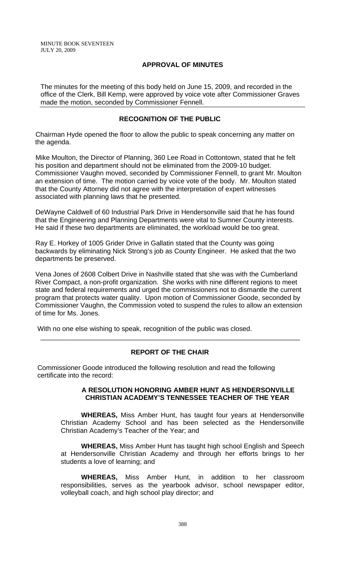MINUTE BOOK SEVENTEEN JULY 20, 2009

## **APPROVAL OF MINUTES**

The minutes for the meeting of this body held on June 15, 2009, and recorded in the office of the Clerk, Bill Kemp, were approved by voice vote after Commissioner Graves made the motion, seconded by Commissioner Fennell.

## **RECOGNITION OF THE PUBLIC**

Chairman Hyde opened the floor to allow the public to speak concerning any matter on the agenda.

Mike Moulton, the Director of Planning, 360 Lee Road in Cottontown, stated that he felt his position and department should not be eliminated from the 2009-10 budget. Commissioner Vaughn moved, seconded by Commissioner Fennell, to grant Mr. Moulton an extension of time. The motion carried by voice vote of the body. Mr. Moulton stated that the County Attorney did not agree with the interpretation of expert witnesses associated with planning laws that he presented.

DeWayne Caldwell of 60 Industrial Park Drive in Hendersonville said that he has found that the Engineering and Planning Departments were vital to Sumner County interests. He said if these two departments are eliminated, the workload would be too great.

Ray E. Horkey of 1005 Grider Drive in Gallatin stated that the County was going backwards by eliminating Nick Strong's job as County Engineer. He asked that the two departments be preserved.

Vena Jones of 2608 Colbert Drive in Nashville stated that she was with the Cumberland River Compact, a non-profit organization. She works with nine different regions to meet state and federal requirements and urged the commissioners not to dismantle the current program that protects water quality. Upon motion of Commissioner Goode, seconded by Commissioner Vaughn, the Commission voted to suspend the rules to allow an extension of time for Ms. Jones.

With no one else wishing to speak, recognition of the public was closed.

## **REPORT OF THE CHAIR**

\_\_\_\_\_\_\_\_\_\_\_\_\_\_\_\_\_\_\_\_\_\_\_\_\_\_\_\_\_\_\_\_\_\_\_\_\_\_\_\_\_\_\_\_\_\_\_\_\_\_\_\_\_\_\_\_\_\_\_\_\_\_\_\_\_\_\_\_\_

 Commissioner Goode introduced the following resolution and read the following certificate into the record:

#### **A RESOLUTION HONORING AMBER HUNT AS HENDERSONVILLE CHRISTIAN ACADEMY'S TENNESSEE TEACHER OF THE YEAR**

 **WHEREAS,** Miss Amber Hunt, has taught four years at Hendersonville Christian Academy School and has been selected as the Hendersonville Christian Academy's Teacher of the Year; and

**WHEREAS,** Miss Amber Hunt has taught high school English and Speech at Hendersonville Christian Academy and through her efforts brings to her students a love of learning; and

**WHEREAS,** Miss Amber Hunt, in addition to her classroom responsibilities, serves as the yearbook advisor, school newspaper editor, volleyball coach, and high school play director; and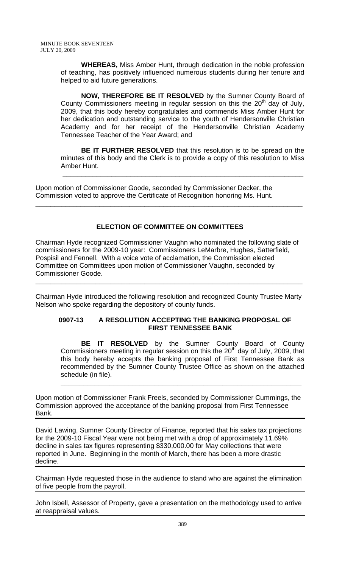**WHEREAS,** Miss Amber Hunt, through dedication in the noble profession of teaching, has positively influenced numerous students during her tenure and helped to aid future generations.

**NOW, THEREFORE BE IT RESOLVED** by the Sumner County Board of County Commissioners meeting in regular session on this the  $20<sup>th</sup>$  day of July, 2009, that this body hereby congratulates and commends Miss Amber Hunt for her dedication and outstanding service to the youth of Hendersonville Christian Academy and for her receipt of the Hendersonville Christian Academy Tennessee Teacher of the Year Award; and

**BE IT FURTHER RESOLVED** that this resolution is to be spread on the minutes of this body and the Clerk is to provide a copy of this resolution to Miss Amber Hunt.

\_\_\_\_\_\_\_\_\_\_\_\_\_\_\_\_\_\_\_\_\_\_\_\_\_\_\_\_\_\_\_\_\_\_\_\_\_\_\_\_\_\_\_\_\_\_\_\_\_\_\_\_\_\_\_\_\_\_\_\_\_\_\_\_

Upon motion of Commissioner Goode, seconded by Commissioner Decker, the Commission voted to approve the Certificate of Recognition honoring Ms. Hunt.

# **ELECTION OF COMMITTEE ON COMMITTEES**

\_\_\_\_\_\_\_\_\_\_\_\_\_\_\_\_\_\_\_\_\_\_\_\_\_\_\_\_\_\_\_\_\_\_\_\_\_\_\_\_\_\_\_\_\_\_\_\_\_\_\_\_\_\_\_\_\_\_\_\_\_\_\_\_\_\_\_\_\_\_\_

Chairman Hyde recognized Commissioner Vaughn who nominated the following slate of commissioners for the 2009-10 year: Commissioners LeMarbre, Hughes, Satterfield, Pospisil and Fennell. With a voice vote of acclamation, the Commission elected Committee on Committees upon motion of Commissioner Vaughn, seconded by Commissioner Goode.

 Chairman Hyde introduced the following resolution and recognized County Trustee Marty Nelson who spoke regarding the depository of county funds.

**\_\_\_\_\_\_\_\_\_\_\_\_\_\_\_\_\_\_\_\_\_\_\_\_\_\_\_\_\_\_\_\_\_\_\_\_\_\_\_\_\_\_\_\_\_\_\_\_\_\_\_\_\_\_\_\_\_\_\_\_\_\_\_\_\_\_\_\_\_\_\_** 

## **0907-13 A RESOLUTION ACCEPTING THE BANKING PROPOSAL OF FIRST TENNESSEE BANK**

 **BE IT RESOLVED** by the Sumner County Board of County Commissioners meeting in regular session on this the  $20<sup>th</sup>$  day of July, 2009, that this body hereby accepts the banking proposal of First Tennessee Bank as recommended by the Sumner County Trustee Office as shown on the attached schedule (in file).

**\_\_\_\_\_\_\_\_\_\_\_\_\_\_\_\_\_\_\_\_\_\_\_\_\_\_\_\_\_\_\_\_\_\_\_\_\_\_\_\_\_\_\_\_\_\_\_\_\_\_\_\_\_\_\_\_\_\_\_\_\_\_\_\_**

Upon motion of Commissioner Frank Freels, seconded by Commissioner Cummings, the Commission approved the acceptance of the banking proposal from First Tennessee Bank.

David Lawing, Sumner County Director of Finance, reported that his sales tax projections for the 2009-10 Fiscal Year were not being met with a drop of approximately 11.69% decline in sales tax figures representing \$330,000.00 for May collections that were reported in June. Beginning in the month of March, there has been a more drastic decline.

Chairman Hyde requested those in the audience to stand who are against the elimination of five people from the payroll.

John Isbell, Assessor of Property, gave a presentation on the methodology used to arrive at reappraisal values.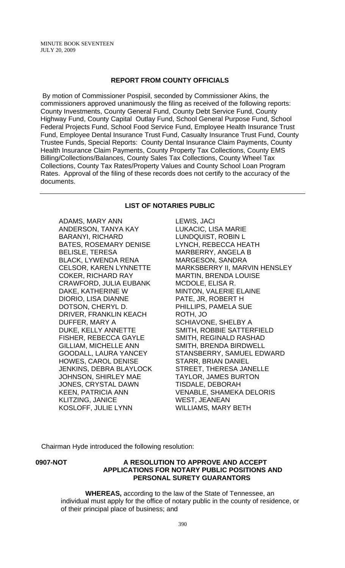#### **REPORT FROM COUNTY OFFICIALS**

 By motion of Commissioner Pospisil, seconded by Commissioner Akins, the commissioners approved unanimously the filing as received of the following reports: County Investments, County General Fund, County Debt Service Fund, County Highway Fund, County Capital Outlay Fund, School General Purpose Fund, School Federal Projects Fund, School Food Service Fund, Employee Health Insurance Trust Fund, Employee Dental Insurance Trust Fund, Casualty Insurance Trust Fund, County Trustee Funds, Special Reports: County Dental Insurance Claim Payments, County Health Insurance Claim Payments, County Property Tax Collections, County EMS Billing/Collections/Balances, County Sales Tax Collections, County Wheel Tax Collections, County Tax Rates/Property Values and County School Loan Program Rates. Approval of the filing of these records does not certify to the accuracy of the documents.

#### **LIST OF NOTARIES PUBLIC**

ADAMS, MARY ANN ANDERSON, TANYA KAY BARANYI, RICHARD BATES, ROSEMARY DENISE BELISLE, TERESA BLACK, LYWENDA RENA CELSOR, KAREN LYNNETTE COKER, RICHARD RAY CRAWFORD, JULIA EUBANK DAKE, KATHERINE W DIORIO, LISA DIANNE DOTSON, CHERYL D. DRIVER, FRANKLIN KEACH DUFFER, MARY A DUKE, KELLY ANNETTE FISHER, REBECCA GAYLE GILLIAM, MICHELLE ANN GOODALL, LAURA YANCEY HOWES, CAROL DENISE JENKINS, DEBRA BLAYLOCK JOHNSON, SHIRLEY MAE JONES, CRYSTAL DAWN KEEN, PATRICIA ANN KLITZING, JANICE KOSLOFF, JULIE LYNN

LEWIS, JACI LUKACIC, LISA MARIE LUNDQUIST, ROBIN L LYNCH, REBECCA HEATH MARBERRY, ANGELA B MARGESON, SANDRA MARKSBERRY II, MARVIN HENSLEY MARTIN, BRENDA LOUISE MCDOLE, ELISA R. MINTON, VALERIE ELAINE PATE, JR, ROBERT H PHILLIPS, PAMELA SUE ROTH, JO SCHIAVONE, SHELBY A SMITH, ROBBIE SATTERFIELD SMITH, REGINALD RASHAD SMITH, BRENDA BIRDWELL STANSBERRY, SAMUEL EDWARD STARR, BRIAN DANIEL STREET, THERESA JANELLE TAYLOR, JAMES BURTON TISDALE, DEBORAH VENABLE, SHAMEKA DELORIS WEST, JEANEAN WILLIAMS, MARY BETH

Chairman Hyde introduced the following resolution:

#### **0907-NOT A RESOLUTION TO APPROVE AND ACCEPT APPLICATIONS FOR NOTARY PUBLIC POSITIONS AND PERSONAL SURETY GUARANTORS**

 **WHEREAS,** according to the law of the State of Tennessee, an individual must apply for the office of notary public in the county of residence, or of their principal place of business; and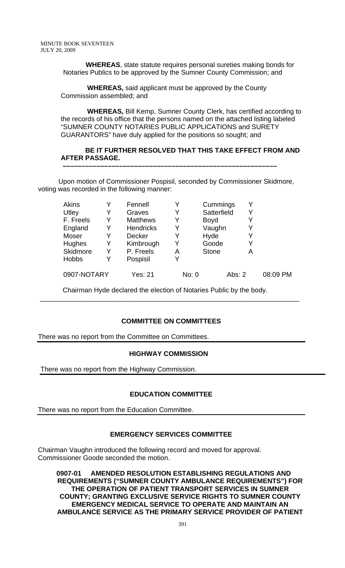**WHEREAS**, state statute requires personal sureties making bonds for Notaries Publics to be approved by the Sumner County Commission; and

 **WHEREAS,** said applicant must be approved by the County Commission assembled; and

 **WHEREAS,** Bill Kemp, Sumner County Clerk, has certified according to the records of his office that the persons named on the attached listing labeled "SUMNER COUNTY NOTARIES PUBLIC APPLICATIONS and SURETY GUARANTORS" have duly applied for the positions so sought; and

## **BE IT FURTHER RESOLVED THAT THIS TAKE EFFECT FROM AND AFTER PASSAGE.**

Upon motion of Commissioner Pospisil, seconded by Commissioner Skidmore, voting was recorded in the following manner:

 **–––––––––––––––––––––––––––––––––––––––––––––––––––––––––** 

| Akins        |   | Fennell          | Y     | Cummings     |        |          |
|--------------|---|------------------|-------|--------------|--------|----------|
| Utley        | Y | Graves           | Y     | Satterfield  | Y      |          |
| F. Freels    | Y | <b>Matthews</b>  | Y     | <b>Boyd</b>  |        |          |
| England      | Y | <b>Hendricks</b> | Y     | Vaughn       | Y      |          |
| Moser        | Y | Decker           | Y     | Hyde         | Y      |          |
| Hughes       | Y | Kimbrough        | Y     | Goode        | Y      |          |
| Skidmore     | Y | P. Freels        | Α     | <b>Stone</b> | А      |          |
| <b>Hobbs</b> | Y | Pospisil         | v     |              |        |          |
| 0907-NOTARY  |   | Yes: 21          | No: 0 |              | Abs: 2 | 08:09 PM |

Chairman Hyde declared the election of Notaries Public by the body.

\_\_\_\_\_\_\_\_\_\_\_\_\_\_\_\_\_\_\_\_\_\_\_\_\_\_\_\_\_\_\_\_\_\_\_\_\_\_\_\_\_\_\_\_\_\_\_\_\_\_\_\_\_\_\_\_\_\_\_\_\_\_\_\_\_\_\_\_\_

## **COMMITTEE ON COMMITTEES**

There was no report from the Committee on Committees.

## **HIGHWAY COMMISSION**

There was no report from the Highway Commission.

## **EDUCATION COMMITTEE**

There was no report from the Education Committee.

## **EMERGENCY SERVICES COMMITTEE**

Chairman Vaughn introduced the following record and moved for approval. Commissioner Goode seconded the motion.

**0907-01 AMENDED RESOLUTION ESTABLISHING REGULATIONS AND REQUIREMENTS ("SUMNER COUNTY AMBULANCE REQUIREMENTS") FOR THE OPERATION OF PATIENT TRANSPORT SERVICES IN SUMNER COUNTY; GRANTING EXCLUSIVE SERVICE RIGHTS TO SUMNER COUNTY EMERGENCY MEDICAL SERVICE TO OPERATE AND MAINTAIN AN AMBULANCE SERVICE AS THE PRIMARY SERVICE PROVIDER OF PATIENT**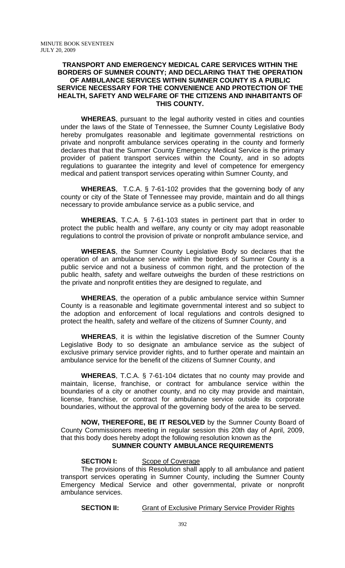#### **TRANSPORT AND EMERGENCY MEDICAL CARE SERVICES WITHIN THE BORDERS OF SUMNER COUNTY; AND DECLARING THAT THE OPERATION OF AMBULANCE SERVICES WITHIN SUMNER COUNTY IS A PUBLIC SERVICE NECESSARY FOR THE CONVENIENCE AND PROTECTION OF THE HEALTH, SAFETY AND WELFARE OF THE CITIZENS AND INHABITANTS OF THIS COUNTY.**

**WHEREAS**, pursuant to the legal authority vested in cities and counties under the laws of the State of Tennessee, the Sumner County Legislative Body hereby promulgates reasonable and legitimate governmental restrictions on private and nonprofit ambulance services operating in the county and formerly declares that that the Sumner County Emergency Medical Service is the primary provider of patient transport services within the County, and in so adopts regulations to guarantee the integrity and level of competence for emergency medical and patient transport services operating within Sumner County, and

**WHEREAS**, T.C.A. § 7-61-102 provides that the governing body of any county or city of the State of Tennessee may provide, maintain and do all things necessary to provide ambulance service as a public service, and

**WHEREAS**, T.C.A. § 7-61-103 states in pertinent part that in order to protect the public health and welfare, any county or city may adopt reasonable regulations to control the provision of private or nonprofit ambulance service, and

**WHEREAS**, the Sumner County Legislative Body so declares that the operation of an ambulance service within the borders of Sumner County is a public service and not a business of common right, and the protection of the public health, safety and welfare outweighs the burden of these restrictions on the private and nonprofit entities they are designed to regulate, and

**WHEREAS**, the operation of a public ambulance service within Sumner County is a reasonable and legitimate governmental interest and so subject to the adoption and enforcement of local regulations and controls designed to protect the health, safety and welfare of the citizens of Sumner County, and

**WHEREAS**, it is within the legislative discretion of the Sumner County Legislative Body to so designate an ambulance service as the subject of exclusive primary service provider rights, and to further operate and maintain an ambulance service for the benefit of the citizens of Sumner County, and

**WHEREAS**, T.C.A. § 7-61-104 dictates that no county may provide and maintain, license, franchise, or contract for ambulance service within the boundaries of a city or another county, and no city may provide and maintain, license, franchise, or contract for ambulance service outside its corporate boundaries, without the approval of the governing body of the area to be served.

**NOW, THEREFORE, BE IT RESOLVED** by the Sumner County Board of County Commissioners meeting in regular session this 20th day of April, 2009, that this body does hereby adopt the following resolution known as the

# **SUMNER COUNTY AMBULANCE REQUIREMENTS**

## **SECTION I:** Scope of Coverage

The provisions of this Resolution shall apply to all ambulance and patient transport services operating in Sumner County, including the Sumner County Emergency Medical Service and other governmental, private or nonprofit ambulance services.

**SECTION II:** Grant of Exclusive Primary Service Provider Rights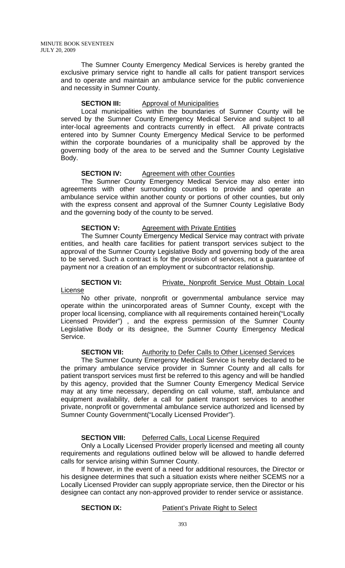The Sumner County Emergency Medical Services is hereby granted the exclusive primary service right to handle all calls for patient transport services and to operate and maintain an ambulance service for the public convenience and necessity in Sumner County.

## **SECTION III:** Approval of Municipalities

Local municipalities within the boundaries of Sumner County will be served by the Sumner County Emergency Medical Service and subject to all inter-local agreements and contracts currently in effect. All private contracts entered into by Sumner County Emergency Medical Service to be performed within the corporate boundaries of a municipality shall be approved by the governing body of the area to be served and the Sumner County Legislative Body.

#### **SECTION IV:** Agreement with other Counties

The Sumner County Emergency Medical Service may also enter into agreements with other surrounding counties to provide and operate an ambulance service within another county or portions of other counties, but only with the express consent and approval of the Sumner County Legislative Body and the governing body of the county to be served.

#### **SECTION V:** Agreement with Private Entities

The Sumner County Emergency Medical Service may contract with private entities, and health care facilities for patient transport services subject to the approval of the Sumner County Legislative Body and governing body of the area to be served. Such a contract is for the provision of services, not a guarantee of payment nor a creation of an employment or subcontractor relationship.

**SECTION VI:** Private, Nonprofit Service Must Obtain Local

License

No other private, nonprofit or governmental ambulance service may operate within the unincorporated areas of Sumner County, except with the proper local licensing, compliance with all requirements contained herein("Locally Licensed Provider") , and the express permission of the Sumner County Legislative Body or its designee, the Sumner County Emergency Medical Service.

## **SECTION VII:** Authority to Defer Calls to Other Licensed Services

The Sumner County Emergency Medical Service is hereby declared to be the primary ambulance service provider in Sumner County and all calls for patient transport services must first be referred to this agency and will be handled by this agency, provided that the Sumner County Emergency Medical Service may at any time necessary, depending on call volume, staff, ambulance and equipment availability, defer a call for patient transport services to another private, nonprofit or governmental ambulance service authorized and licensed by Sumner County Government("Locally Licensed Provider").

#### **SECTION VIII:** Deferred Calls, Local License Required

Only a Locally Licensed Provider properly licensed and meeting all county requirements and regulations outlined below will be allowed to handle deferred calls for service arising within Sumner County.

If however, in the event of a need for additional resources, the Director or his designee determines that such a situation exists where neither SCEMS nor a Locally Licensed Provider can supply appropriate service, then the Director or his designee can contact any non-approved provider to render service or assistance.

#### **SECTION IX:** Patient's Private Right to Select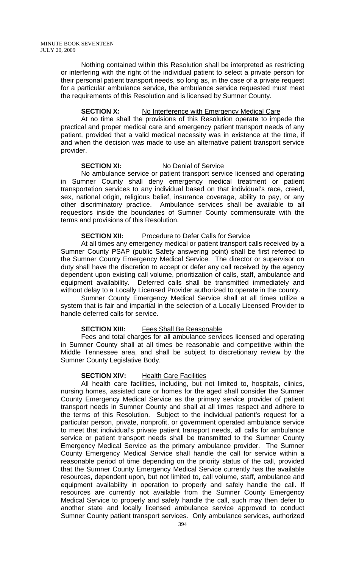Nothing contained within this Resolution shall be interpreted as restricting or interfering with the right of the individual patient to select a private person for their personal patient transport needs, so long as, in the case of a private request for a particular ambulance service, the ambulance service requested must meet the requirements of this Resolution and is licensed by Sumner County.

#### **SECTION X:** No Interference with Emergency Medical Care

At no time shall the provisions of this Resolution operate to impede the practical and proper medical care and emergency patient transport needs of any patient, provided that a valid medical necessity was in existence at the time, if and when the decision was made to use an alternative patient transport service provider.

#### **SECTION XI:** No Denial of Service

No ambulance service or patient transport service licensed and operating in Sumner County shall deny emergency medical treatment or patient transportation services to any individual based on that individual's race, creed, sex, national origin, religious belief, insurance coverage, ability to pay, or any other discriminatory practice. Ambulance services shall be available to all requestors inside the boundaries of Sumner County commensurate with the terms and provisions of this Resolution.

#### **SECTION XII:** Procedure to Defer Calls for Service

At all times any emergency medical or patient transport calls received by a Sumner County PSAP (public Safety answering point) shall be first referred to the Sumner County Emergency Medical Service. The director or supervisor on duty shall have the discretion to accept or defer any call received by the agency dependent upon existing call volume, prioritization of calls, staff, ambulance and equipment availability. Deferred calls shall be transmitted immediately and without delay to a Locally Licensed Provider authorized to operate in the county.

Sumner County Emergency Medical Service shall at all times utilize a system that is fair and impartial in the selection of a Locally Licensed Provider to handle deferred calls for service.

#### **SECTION XIII:** Fees Shall Be Reasonable

Fees and total charges for all ambulance services licensed and operating in Sumner County shall at all times be reasonable and competitive within the Middle Tennessee area, and shall be subject to discretionary review by the Sumner County Legislative Body.

#### **SECTION XIV:** Health Care Facilities

All health care facilities, including, but not limited to, hospitals, clinics, nursing homes, assisted care or homes for the aged shall consider the Sumner County Emergency Medical Service as the primary service provider of patient transport needs in Sumner County and shall at all times respect and adhere to the terms of this Resolution. Subject to the individual patient's request for a particular person, private, nonprofit, or government operated ambulance service to meet that individual's private patient transport needs, all calls for ambulance service or patient transport needs shall be transmitted to the Sumner County Emergency Medical Service as the primary ambulance provider. The Sumner County Emergency Medical Service shall handle the call for service within a reasonable period of time depending on the priority status of the call, provided that the Sumner County Emergency Medical Service currently has the available resources, dependent upon, but not limited to, call volume, staff, ambulance and equipment availability in operation to properly and safely handle the call. If resources are currently not available from the Sumner County Emergency Medical Service to properly and safely handle the call, such may then defer to another state and locally licensed ambulance service approved to conduct Sumner County patient transport services. Only ambulance services, authorized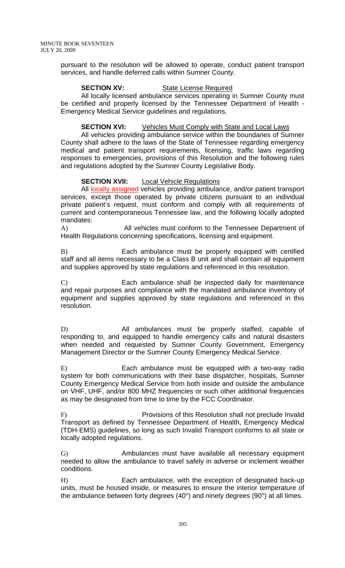pursuant to the resolution will be allowed to operate, conduct patient transport services, and handle deferred calls within Sumner County.

#### **SECTION XV:** State License Required

All locally licensed ambulance services operating in Sumner County must be certified and properly licensed by the Tennessee Department of Health - Emergency Medical Service guidelines and regulations.

## **SECTION XVI:** Vehicles Must Comply with State and Local Laws

All vehicles providing ambulance service within the boundaries of Sumner County shall adhere to the laws of the State of Tennessee regarding emergency medical and patient transport requirements, licensing, traffic laws regarding responses to emergencies, provisions of this Resolution and the following rules and regulations adopted by the Sumner County Legislative Body.

## **SECTION XVII:** Local Vehicle Regulations

All locally assigned vehicles providing ambulance, and/or patient transport services, except those operated by private citizens pursuant to an individual private patient's request, must conform and comply with all requirements of current and contemporaneous Tennessee law, and the following locally adopted mandates:

A) All vehicles must conform to the Tennessee Department of Health Regulations concerning specifications, licensing and equipment.

B) Each ambulance must be properly equipped with certified staff and all items necessary to be a Class B unit and shall contain all equipment and supplies approved by state regulations and referenced in this resolution.

C) Each ambulance shall be inspected daily for maintenance and repair purposes and compliance with the mandated ambulance inventory of equipment and supplies approved by state regulations and referenced in this resolution.

D) All ambulances must be properly staffed, capable of responding to, and equipped to handle emergency calls and natural disasters when needed and requested by Sumner County Government, Emergency Management Director or the Sumner County Emergency Medical Service.

E) Each ambulance must be equipped with a two-way radio system for both communications with their base dispatcher, hospitals, Sumner County Emergency Medical Service from both inside and outside the ambulance on VHF, UHF, and/or 800 MHZ frequencies or such other additional frequencies as may be designated from time to time by the FCC Coordinator.

F) Provisions of this Resolution shall not preclude Invalid Transport as defined by Tennessee Department of Health, Emergency Medical (TDH-EMS) guidelines, so long as such Invalid Transport conforms to all state or locally adopted regulations.

G) Ambulances must have available all necessary equipment needed to allow the ambulance to travel safely in adverse or inclement weather conditions.

H) Each ambulance, with the exception of designated back-up units, must be housed inside, or measures to ensure the interior temperature of the ambulance between forty degrees (40°) and ninety degrees (90°) at all times.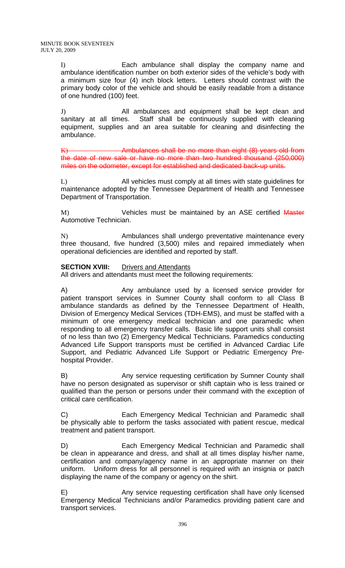I) Each ambulance shall display the company name and ambulance identification number on both exterior sides of the vehicle's body with a minimum size four (4) inch block letters. Letters should contrast with the primary body color of the vehicle and should be easily readable from a distance of one hundred (100) feet.

J) All ambulances and equipment shall be kept clean and sanitary at all times. Staff shall be continuously supplied with cleaning equipment, supplies and an area suitable for cleaning and disinfecting the ambulance.

K) Ambulances shall be no more than eight (8) years old from the date of new sale or have no more than two hundred thousand (250,000) miles on the odometer, except for established and dedicated back-up units.

L) All vehicles must comply at all times with state guidelines for maintenance adopted by the Tennessee Department of Health and Tennessee Department of Transportation.

M) Vehicles must be maintained by an ASE certified Master Automotive Technician.

N) Ambulances shall undergo preventative maintenance every three thousand, five hundred (3,500) miles and repaired immediately when operational deficiencies are identified and reported by staff.

## **SECTION XVIII:** Drivers and Attendants

All drivers and attendants must meet the following requirements:

A) Any ambulance used by a licensed service provider for patient transport services in Sumner County shall conform to all Class B ambulance standards as defined by the Tennessee Department of Health, Division of Emergency Medical Services (TDH-EMS), and must be staffed with a minimum of one emergency medical technician and one paramedic when responding to all emergency transfer calls. Basic life support units shall consist of no less than two (2) Emergency Medical Technicians. Paramedics conducting Advanced Life Support transports must be certified in Advanced Cardiac Life Support, and Pediatric Advanced Life Support or Pediatric Emergency Prehospital Provider.

B) Any service requesting certification by Sumner County shall have no person designated as supervisor or shift captain who is less trained or qualified than the person or persons under their command with the exception of critical care certification.

C) Each Emergency Medical Technician and Paramedic shall be physically able to perform the tasks associated with patient rescue, medical treatment and patient transport.

D) Each Emergency Medical Technician and Paramedic shall be clean in appearance and dress, and shall at all times display his/her name, certification and company/agency name in an appropriate manner on their uniform. Uniform dress for all personnel is required with an insignia or patch displaying the name of the company or agency on the shirt.

E) Any service requesting certification shall have only licensed Emergency Medical Technicians and/or Paramedics providing patient care and transport services.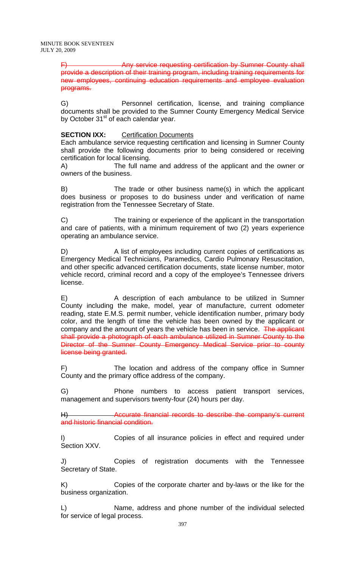MINUTE BOOK SEVENTEEN JULY 20, 2009

> F) Any service requesting certification by Sumner County shall provide a description of their training program, including training requirements for new employees, continuing education requirements and employee evaluation programs.

> G) Personnel certification, license, and training compliance documents shall be provided to the Sumner County Emergency Medical Service by October 31<sup>st</sup> of each calendar year.

## **SECTION IXX:** Certification Documents

Each ambulance service requesting certification and licensing in Sumner County shall provide the following documents prior to being considered or receiving certification for local licensing.

A) The full name and address of the applicant and the owner or owners of the business.

B) The trade or other business name(s) in which the applicant does business or proposes to do business under and verification of name registration from the Tennessee Secretary of State.

C) The training or experience of the applicant in the transportation and care of patients, with a minimum requirement of two (2) years experience operating an ambulance service.

D) A list of employees including current copies of certifications as Emergency Medical Technicians, Paramedics, Cardio Pulmonary Resuscitation, and other specific advanced certification documents, state license number, motor vehicle record, criminal record and a copy of the employee's Tennessee drivers license.

E) A description of each ambulance to be utilized in Sumner County including the make, model, year of manufacture, current odometer reading, state E.M.S. permit number, vehicle identification number, primary body color, and the length of time the vehicle has been owned by the applicant or company and the amount of years the vehicle has been in service. The applicant shall provide a photograph of each ambulance utilized in Sumner County to the Director of the Sumner County Emergency Medical Service prior to county license being granted.

F) The location and address of the company office in Sumner County and the primary office address of the company.

G) Phone numbers to access patient transport services, management and supervisors twenty-four (24) hours per day.

H) Accurate financial records to describe the company's current and historic financial condition.

I) Copies of all insurance policies in effect and required under Section XXV.

J) Copies of registration documents with the Tennessee Secretary of State.

K) Copies of the corporate charter and by-laws or the like for the business organization.

L) Name, address and phone number of the individual selected for service of legal process.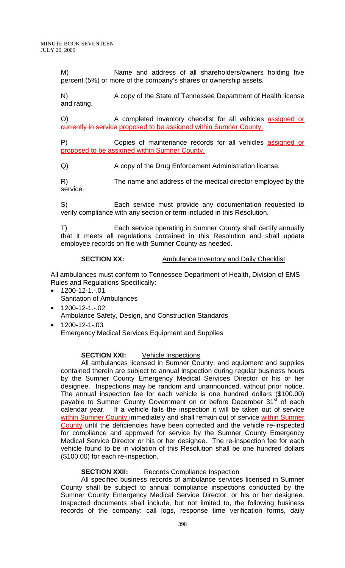M) Name and address of all shareholders/owners holding five percent (5%) or more of the company's shares or ownership assets.

N) A copy of the State of Tennessee Department of Health license and rating.

O) A completed inventory checklist for all vehicles assigned or currently in service proposed to be assigned within Sumner County.

P) Copies of maintenance records for all vehicles assigned or proposed to be assigned within Sumner County.

Q) A copy of the Drug Enforcement Administration license.

R) The name and address of the medical director employed by the service.

S) Each service must provide any documentation requested to verify compliance with any section or term included in this Resolution.

T) Each service operating in Sumner County shall certify annually that it meets all regulations contained in this Resolution and shall update employee records on file with Sumner County as needed.

# **SECTION XX:** Ambulance Inventory and Daily Checklist

All ambulances must conform to Tennessee Department of Health, Division of EMS Rules and Regulations Specifically:

- 1200-12-1.-.01 Sanitation of Ambulances
- $1200 12 1 02$ Ambulance Safety, Design, and Construction Standards
- 1200-12-1-.03 Emergency Medical Services Equipment and Supplies

## **SECTION XXI:** Vehicle Inspections

All ambulances licensed in Sumner County, and equipment and supplies contained therein are subject to annual inspection during regular business hours by the Sumner County Emergency Medical Services Director or his or her designee. Inspections may be random and unannounced, without prior notice. The annual inspection fee for each vehicle is one hundred dollars (\$100.00) payable to Sumner County Government on or before December 31<sup>st</sup> of each calendar year. If a vehicle fails the inspection it will be taken out of service within Sumner County immediately and shall remain out of service within Sumner County until the deficiencies have been corrected and the vehicle re-inspected for compliance and approved for service by the Sumner County Emergency Medical Service Director or his or her designee. The re-inspection fee for each vehicle found to be in violation of this Resolution shall be one hundred dollars (\$100.00) for each re-inspection.

#### **SECTION XXII:** Records Compliance Inspection

All specified business records of ambulance services licensed in Sumner County shall be subject to annual compliance inspections conducted by the Sumner County Emergency Medical Service Director, or his or her designee. Inspected documents shall include, but not limited to, the following business records of the company: call logs, response time verification forms, daily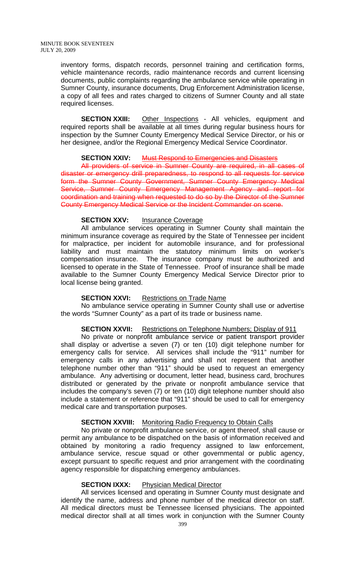inventory forms, dispatch records, personnel training and certification forms, vehicle maintenance records, radio maintenance records and current licensing documents, public complaints regarding the ambulance service while operating in Sumner County, insurance documents, Drug Enforcement Administration license, a copy of all fees and rates charged to citizens of Sumner County and all state required licenses.

**SECTION XXIII:** Other Inspections - All vehicles, equipment and required reports shall be available at all times during regular business hours for inspection by the Sumner County Emergency Medical Service Director, or his or her designee, and/or the Regional Emergency Medical Service Coordinator.

#### **SECTION XXIV:** Must Respond to Emergencies and Disasters

All providers of service in Sumner County are required, in all cases of disaster or emergency drill preparedness, to respond to all requests for service form the Sumner County Government, Sumner County Emergency Medical Service, Sumner County Emergency Management Agency and report for coordination and training when requested to do so by the Director of the Sumner County Emergency Medical Service or the Incident Commander on scene.

#### **SECTION XXV:** Insurance Coverage

All ambulance services operating in Sumner County shall maintain the minimum insurance coverage as required by the State of Tennessee per incident for malpractice, per incident for automobile insurance, and for professional liability and must maintain the statutory minimum limits on worker's compensation insurance. The insurance company must be authorized and licensed to operate in the State of Tennessee. Proof of insurance shall be made available to the Sumner County Emergency Medical Service Director prior to local license being granted.

#### **SECTION XXVI:** Restrictions on Trade Name

No ambulance service operating in Sumner County shall use or advertise the words "Sumner County" as a part of its trade or business name.

#### **SECTION XXVII:** Restrictions on Telephone Numbers; Display of 911

No private or nonprofit ambulance service or patient transport provider shall display or advertise a seven (7) or ten (10) digit telephone number for emergency calls for service. All services shall include the "911" number for emergency calls in any advertising and shall not represent that another telephone number other than "911" should be used to request an emergency ambulance. Any advertising or document, letter head, business card, brochures distributed or generated by the private or nonprofit ambulance service that includes the company's seven (7) or ten (10) digit telephone number should also include a statement or reference that "911" should be used to call for emergency medical care and transportation purposes.

#### **SECTION XXVIII:** Monitoring Radio Frequency to Obtain Calls

No private or nonprofit ambulance service, or agent thereof, shall cause or permit any ambulance to be dispatched on the basis of information received and obtained by monitoring a radio frequency assigned to law enforcement, ambulance service, rescue squad or other governmental or public agency, except pursuant to specific request and prior arrangement with the coordinating agency responsible for dispatching emergency ambulances.

#### **SECTION IXXX:** Physician Medical Director

All services licensed and operating in Sumner County must designate and identify the name, address and phone number of the medical director on staff. All medical directors must be Tennessee licensed physicians. The appointed medical director shall at all times work in conjunction with the Sumner County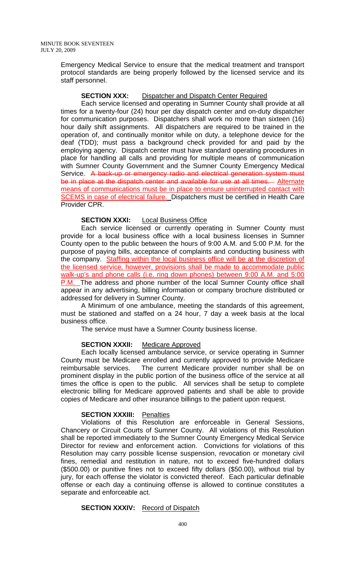Emergency Medical Service to ensure that the medical treatment and transport protocol standards are being properly followed by the licensed service and its staff personnel.

#### **SECTION XXX:** Dispatcher and Dispatch Center Required

Each service licensed and operating in Sumner County shall provide at all times for a twenty-four (24) hour per day dispatch center and on-duty dispatcher for communication purposes. Dispatchers shall work no more than sixteen (16) hour daily shift assignments. All dispatchers are required to be trained in the operation of, and continually monitor while on duty, a telephone device for the deaf (TDD); must pass a background check provided for and paid by the employing agency. Dispatch center must have standard operating procedures in place for handling all calls and providing for multiple means of communication with Sumner County Government and the Sumner County Emergency Medical Service. A back-up or emergency radio and electrical generation system must be in place at the dispatch center and available for use at all times. Alternate means of communications must be in place to ensure uninterrupted contact with SCEMS in case of electrical failure. Dispatchers must be certified in Health Care Provider CPR.

#### **SECTION XXXI:** Local Business Office

Each service licensed or currently operating in Sumner County must provide for a local business office with a local business licenses in Sumner County open to the public between the hours of 9:00 A.M. and 5:00 P.M. for the purpose of paying bills, acceptance of complaints and conducting business with the company. Staffing within the local business office will be at the discretion of the licensed service, however, provisions shall be made to accommodate public walk-up's and phone calls (i.e. ring down phones) between 9:00 A.M. and 5:00 **P.M.** The address and phone number of the local Sumner County office shall appear in any advertising, billing information or company brochure distributed or addressed for delivery in Sumner County.

A Minimum of one ambulance, meeting the standards of this agreement, must be stationed and staffed on a 24 hour, 7 day a week basis at the local business office.

The service must have a Sumner County business license.

## **SECTION XXXII:** Medicare Approved

Each locally licensed ambulance service, or service operating in Sumner County must be Medicare enrolled and currently approved to provide Medicare reimbursable services. The current Medicare provider number shall be on prominent display in the public portion of the business office of the service at all times the office is open to the public. All services shall be setup to complete electronic billing for Medicare approved patients and shall be able to provide copies of Medicare and other insurance billings to the patient upon request.

#### **SECTION XXXIII:** Penalties

Violations of this Resolution are enforceable in General Sessions, Chancery or Circuit Courts of Sumner County. All violations of this Resolution shall be reported immediately to the Sumner County Emergency Medical Service Director for review and enforcement action. Convictions for violations of this Resolution may carry possible license suspension, revocation or monetary civil fines, remedial and restitution in nature, not to exceed five-hundred dollars (\$500.00) or punitive fines not to exceed fifty dollars (\$50.00), without trial by jury, for each offense the violator is convicted thereof. Each particular definable offense or each day a continuing offense is allowed to continue constitutes a separate and enforceable act.

#### **SECTION XXXIV:** Record of Dispatch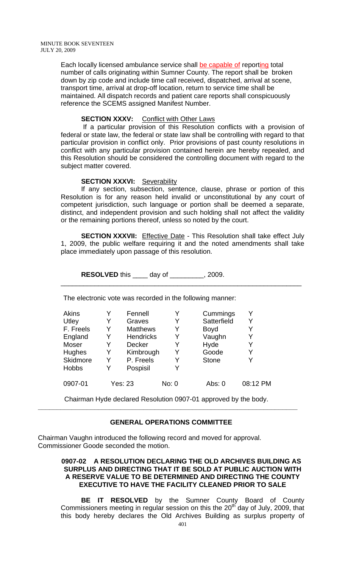Each locally licensed ambulance service shall be capable of reporting total number of calls originating within Sumner County. The report shall be broken down by zip code and include time call received, dispatched, arrival at scene, transport time, arrival at drop-off location, return to service time shall be maintained. All dispatch records and patient care reports shall conspicuously reference the SCEMS assigned Manifest Number.

## **SECTION XXXV:** Conflict with Other Laws

 If a particular provision of this Resolution conflicts with a provision of federal or state law, the federal or state law shall be controlling with regard to that particular provision in conflict only. Prior provisions of past county resolutions in conflict with any particular provision contained herein are hereby repealed, and this Resolution should be considered the controlling document with regard to the subject matter covered.

#### **SECTION XXXVI: Severability**

If any section, subsection, sentence, clause, phrase or portion of this Resolution is for any reason held invalid or unconstitutional by any court of competent jurisdiction, such language or portion shall be deemed a separate, distinct, and independent provision and such holding shall not affect the validity or the remaining portions thereof, unless so noted by the court.

**SECTION XXXVII:** Effective Date - This Resolution shall take effect July 1, 2009, the public welfare requiring it and the noted amendments shall take place immediately upon passage of this resolution.

\_\_\_\_\_\_\_\_\_\_\_\_\_\_\_\_\_\_\_\_\_\_\_\_\_\_\_\_\_\_\_\_\_\_\_\_\_\_\_\_\_\_\_\_\_\_\_\_\_\_\_\_\_\_\_\_\_\_\_\_\_\_\_\_

**RESOLVED** this \_\_\_\_ day of \_\_\_\_\_\_\_\_\_, 2009.

The electronic vote was recorded in the following manner:

| <b>Akins</b>    |   | Fennell          | Y     | Cummings     | Y        |
|-----------------|---|------------------|-------|--------------|----------|
| Utley           | Y | Graves           | Y     | Satterfield  | Y        |
| F. Freels       | Y | <b>Matthews</b>  | Y     | <b>Boyd</b>  | Y        |
| England         | Y | <b>Hendricks</b> | Y     | Vaughn       | Y        |
| Moser           | Y | <b>Decker</b>    | Y     | Hyde         | Y        |
| <b>Hughes</b>   | Y | Kimbrough        | Y     | Goode        | Y        |
| <b>Skidmore</b> | Y | P. Freels        | Y     | <b>Stone</b> | Y        |
| <b>Hobbs</b>    | Y | Pospisil         | Y     |              |          |
| 0907-01         |   | <b>Yes: 23</b>   | No: 0 | Abs: 0       | 08:12 PM |

Chairman Hyde declared Resolution 0907-01 approved by the body. **\_\_\_\_\_\_\_\_\_\_\_\_\_\_\_\_\_\_\_\_\_\_\_\_\_\_\_\_\_\_\_\_\_\_\_\_\_\_\_\_\_\_\_\_\_\_\_\_\_\_\_\_\_\_\_\_\_\_\_\_\_\_\_\_\_\_\_\_\_** 

## **GENERAL OPERATIONS COMMITTEE**

Chairman Vaughn introduced the following record and moved for approval. Commissioner Goode seconded the motion.

## **0907-02 A RESOLUTION DECLARING THE OLD ARCHIVES BUILDING AS SURPLUS AND DIRECTING THAT IT BE SOLD AT PUBLIC AUCTION WITH A RESERVE VALUE TO BE DETERMINED AND DIRECTING THE COUNTY EXECUTIVE TO HAVE THE FACILITY CLEANED PRIOR TO SALE**

**BE IT RESOLVED** by the Sumner County Board of County Commissioners meeting in regular session on this the  $20<sup>th</sup>$  day of July, 2009, that this body hereby declares the Old Archives Building as surplus property of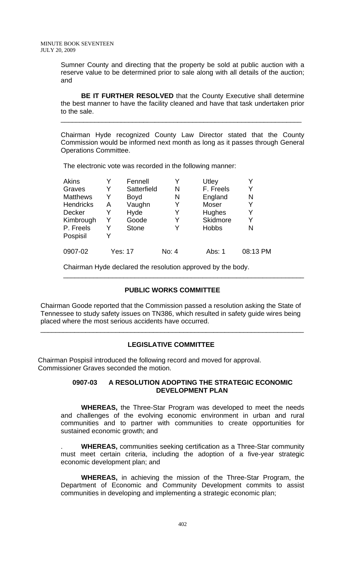Sumner County and directing that the property be sold at public auction with a reserve value to be determined prior to sale along with all details of the auction; and

**BE IT FURTHER RESOLVED** that the County Executive shall determine the best manner to have the facility cleaned and have that task undertaken prior to the sale.

\_\_\_\_\_\_\_\_\_\_\_\_\_\_\_\_\_\_\_\_\_\_\_\_\_\_\_\_\_\_\_\_\_\_\_\_\_\_\_\_\_\_\_\_\_\_\_\_\_\_\_\_\_\_\_\_\_\_\_\_\_\_\_\_

Chairman Hyde recognized County Law Director stated that the County Commission would be informed next month as long as it passes through General Operations Committee.

The electronic vote was recorded in the following manner:

| Akins            |   | Fennell        | Y     | Utley        |          |
|------------------|---|----------------|-------|--------------|----------|
| Graves           | Y | Satterfield    | N     | F. Freels    |          |
| <b>Matthews</b>  | Y | <b>Boyd</b>    | N     | England      | N        |
| <b>Hendricks</b> | Α | Vaughn         | Y     | Moser        | Y        |
| Decker           | Y | Hyde           | Y     | Hughes       | Y        |
| Kimbrough        | Y | Goode          | Y     | Skidmore     | Y        |
| P. Freels        | Y | <b>Stone</b>   | Y     | <b>Hobbs</b> | N        |
| Pospisil         | Y |                |       |              |          |
| 0907-02          |   | <b>Yes: 17</b> | No: 4 | Abs: 1       | 08:13 PM |

Chairman Hyde declared the resolution approved by the body.

## **PUBLIC WORKS COMMITTEE**

\_\_\_\_\_\_\_\_\_\_\_\_\_\_\_\_\_\_\_\_\_\_\_\_\_\_\_\_\_\_\_\_\_\_\_\_\_\_\_\_\_\_\_\_\_\_\_\_\_\_\_\_\_\_\_\_\_\_\_\_\_\_\_\_

Chairman Goode reported that the Commission passed a resolution asking the State of Tennessee to study safety issues on TN386, which resulted in safety guide wires being placed where the most serious accidents have occurred.

#### **LEGISLATIVE COMMITTEE**

\_\_\_\_\_\_\_\_\_\_\_\_\_\_\_\_\_\_\_\_\_\_\_\_\_\_\_\_\_\_\_\_\_\_\_\_\_\_\_\_\_\_\_\_\_\_\_\_\_\_\_\_\_\_\_\_\_\_\_\_\_\_\_\_\_\_\_\_\_\_

Chairman Pospisil introduced the following record and moved for approval. Commissioner Graves seconded the motion.

#### **0907-03 A RESOLUTION ADOPTING THE STRATEGIC ECONOMIC DEVELOPMENT PLAN**

 **WHEREAS,** the Three-Star Program was developed to meet the needs and challenges of the evolving economic environment in urban and rural communities and to partner with communities to create opportunities for sustained economic growth; and

. **WHEREAS,** communities seeking certification as a Three-Star community must meet certain criteria, including the adoption of a five-year strategic economic development plan; and

**WHEREAS,** in achieving the mission of the Three-Star Program, the Department of Economic and Community Development commits to assist communities in developing and implementing a strategic economic plan;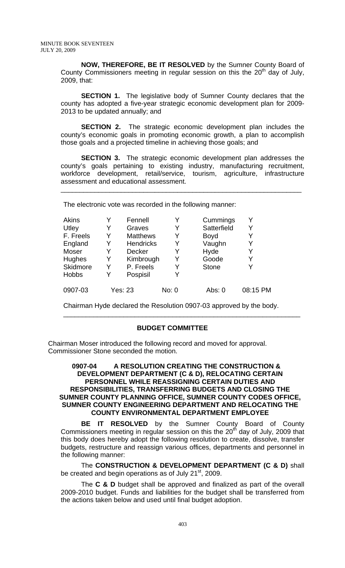**NOW, THEREFORE, BE IT RESOLVED** by the Sumner County Board of County Commissioners meeting in regular session on this the  $20<sup>th</sup>$  day of July, 2009, that:

**SECTION 1.** The legislative body of Sumner County declares that the county has adopted a five-year strategic economic development plan for 2009- 2013 to be updated annually; and

**SECTION 2.** The strategic economic development plan includes the county's economic goals in promoting economic growth, a plan to accomplish those goals and a projected timeline in achieving those goals; and

**SECTION 3.** The strategic economic development plan addresses the county's goals pertaining to existing industry, manufacturing recruitment, workforce development, retail/service, tourism, agriculture, infrastructure assessment and educational assessment.

\_\_\_\_\_\_\_\_\_\_\_\_\_\_\_\_\_\_\_\_\_\_\_\_\_\_\_\_\_\_\_\_\_\_\_\_\_\_\_\_\_\_\_\_\_\_\_\_\_\_\_\_\_\_\_\_\_\_\_\_\_\_\_\_

The electronic vote was recorded in the following manner:

| <b>Akins</b> |   | Fennell          | Y     | Cummings     | v        |
|--------------|---|------------------|-------|--------------|----------|
| Utley        | Y | Graves           | Y     | Satterfield  | Y        |
| F. Freels    | Y | <b>Matthews</b>  | Y     | <b>Boyd</b>  |          |
| England      | Y | <b>Hendricks</b> | Y     | Vaughn       | Y        |
| Moser        | Y | <b>Decker</b>    | Y     | Hyde         | Y        |
| Hughes       | Y | Kimbrough        | Y     | Goode        | Y        |
| Skidmore     | Y | P. Freels        | Y     | <b>Stone</b> | Y        |
| <b>Hobbs</b> | Y | Pospisil         | Y     |              |          |
| 0907-03      |   | <b>Yes: 23</b>   | No: 0 | Abs: 0       | 08:15 PM |

Chairman Hyde declared the Resolution 0907-03 approved by the body.

## **BUDGET COMMITTEE**

\_\_\_\_\_\_\_\_\_\_\_\_\_\_\_\_\_\_\_\_\_\_\_\_\_\_\_\_\_\_\_\_\_\_\_\_\_\_\_\_\_\_\_\_\_\_\_\_\_\_\_\_\_\_\_\_\_\_\_\_\_\_\_

Chairman Moser introduced the following record and moved for approval. Commissioner Stone seconded the motion.

#### **0907-04 A RESOLUTION CREATING THE CONSTRUCTION & DEVELOPMENT DEPARTMENT (C & D), RELOCATING CERTAIN PERSONNEL WHILE REASSIGNING CERTAIN DUTIES AND RESPONSIBILITIES, TRANSFERRING BUDGETS AND CLOSING THE SUMNER COUNTY PLANNING OFFICE, SUMNER COUNTY CODES OFFICE, SUMNER COUNTY ENGINEERING DEPARTMENT AND RELOCATING THE COUNTY ENVIRONMENTAL DEPARTMENT EMPLOYEE**

**BE IT RESOLVED** by the Sumner County Board of County Commissioners meeting in regular session on this the 20<sup>th</sup> day of July, 2009 that this body does hereby adopt the following resolution to create, dissolve, transfer budgets, restructure and reassign various offices, departments and personnel in the following manner:

The **CONSTRUCTION & DEVELOPMENT DEPARTMENT (C & D)** shall be created and begin operations as of July 21<sup>st</sup>, 2009.

The **C & D** budget shall be approved and finalized as part of the overall 2009-2010 budget. Funds and liabilities for the budget shall be transferred from the actions taken below and used until final budget adoption.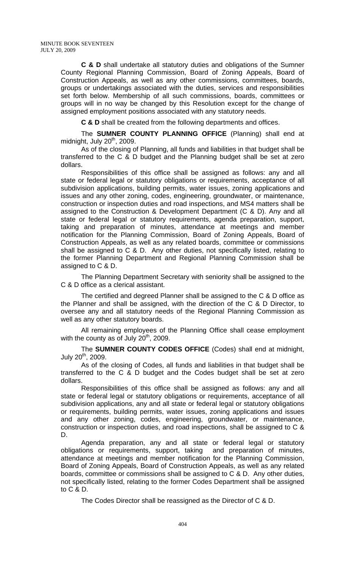**C & D** shall undertake all statutory duties and obligations of the Sumner County Regional Planning Commission, Board of Zoning Appeals, Board of Construction Appeals, as well as any other commissions, committees, boards, groups or undertakings associated with the duties, services and responsibilities set forth below. Membership of all such commissions, boards, committees or groups will in no way be changed by this Resolution except for the change of assigned employment positions associated with any statutory needs.

**C & D** shall be created from the following departments and offices.

The **SUMNER COUNTY PLANNING OFFICE** (Planning) shall end at midnight, July  $20<sup>th</sup>$ , 2009.

As of the closing of Planning, all funds and liabilities in that budget shall be transferred to the C & D budget and the Planning budget shall be set at zero dollars.

Responsibilities of this office shall be assigned as follows: any and all state or federal legal or statutory obligations or requirements, acceptance of all subdivision applications, building permits, water issues, zoning applications and issues and any other zoning, codes, engineering, groundwater, or maintenance, construction or inspection duties and road inspections, and MS4 matters shall be assigned to the Construction & Development Department (C & D). Any and all state or federal legal or statutory requirements, agenda preparation, support, taking and preparation of minutes, attendance at meetings and member notification for the Planning Commission, Board of Zoning Appeals, Board of Construction Appeals, as well as any related boards, committee or commissions shall be assigned to C & D. Any other duties, not specifically listed, relating to the former Planning Department and Regional Planning Commission shall be assigned to C & D.

The Planning Department Secretary with seniority shall be assigned to the C & D office as a clerical assistant.

The certified and degreed Planner shall be assigned to the C & D office as the Planner and shall be assigned, with the direction of the C & D Director, to oversee any and all statutory needs of the Regional Planning Commission as well as any other statutory boards.

All remaining employees of the Planning Office shall cease employment with the county as of July  $20<sup>th</sup>$ , 2009.

The **SUMNER COUNTY CODES OFFICE** (Codes) shall end at midnight, July  $20^{th}$ , 2009.

As of the closing of Codes, all funds and liabilities in that budget shall be transferred to the C & D budget and the Codes budget shall be set at zero dollars.

Responsibilities of this office shall be assigned as follows: any and all state or federal legal or statutory obligations or requirements, acceptance of all subdivision applications, any and all state or federal legal or statutory obligations or requirements, building permits, water issues, zoning applications and issues and any other zoning, codes, engineering, groundwater, or maintenance, construction or inspection duties, and road inspections, shall be assigned to C & D.

Agenda preparation, any and all state or federal legal or statutory obligations or requirements, support, taking and preparation of minutes, attendance at meetings and member notification for the Planning Commission, Board of Zoning Appeals, Board of Construction Appeals, as well as any related boards, committee or commissions shall be assigned to C & D. Any other duties, not specifically listed, relating to the former Codes Department shall be assigned to C & D.

The Codes Director shall be reassigned as the Director of C & D.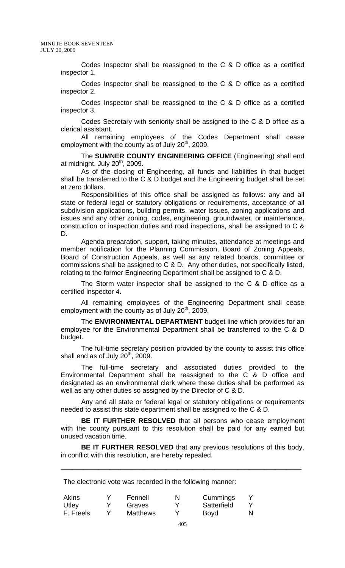Codes Inspector shall be reassigned to the C & D office as a certified inspector 1.

Codes Inspector shall be reassigned to the C & D office as a certified inspector 2.

Codes Inspector shall be reassigned to the C & D office as a certified inspector 3.

Codes Secretary with seniority shall be assigned to the C & D office as a clerical assistant.

All remaining employees of the Codes Department shall cease employment with the county as of July  $20<sup>th</sup>$ , 2009.

The **SUMNER COUNTY ENGINEERING OFFICE** (Engineering) shall end at midnight, July  $20<sup>th</sup>$ , 2009.

As of the closing of Engineering, all funds and liabilities in that budget shall be transferred to the C & D budget and the Engineering budget shall be set at zero dollars.

Responsibilities of this office shall be assigned as follows: any and all state or federal legal or statutory obligations or requirements, acceptance of all subdivision applications, building permits, water issues, zoning applications and issues and any other zoning, codes, engineering, groundwater, or maintenance, construction or inspection duties and road inspections, shall be assigned to C & D.

Agenda preparation, support, taking minutes, attendance at meetings and member notification for the Planning Commission, Board of Zoning Appeals, Board of Construction Appeals, as well as any related boards, committee or commissions shall be assigned to C & D. Any other duties, not specifically listed, relating to the former Engineering Department shall be assigned to C & D.

The Storm water inspector shall be assigned to the C & D office as a certified inspector 4.

All remaining employees of the Engineering Department shall cease employment with the county as of July  $20<sup>th</sup>$ , 2009.

The **ENVIRONMENTAL DEPARTMENT** budget line which provides for an employee for the Environmental Department shall be transferred to the C & D budget.

The full-time secretary position provided by the county to assist this office shall end as of July  $20<sup>th</sup>$ , 2009.

The full-time secretary and associated duties provided to the Environmental Department shall be reassigned to the C & D office and designated as an environmental clerk where these duties shall be performed as well as any other duties so assigned by the Director of C & D.

Any and all state or federal legal or statutory obligations or requirements needed to assist this state department shall be assigned to the C & D.

**BE IT FURTHER RESOLVED** that all persons who cease employment with the county pursuant to this resolution shall be paid for any earned but unused vacation time.

**BE IT FURTHER RESOLVED** that any previous resolutions of this body, in conflict with this resolution, are hereby repealed.

\_\_\_\_\_\_\_\_\_\_\_\_\_\_\_\_\_\_\_\_\_\_\_\_\_\_\_\_\_\_\_\_\_\_\_\_\_\_\_\_\_\_\_\_\_\_\_\_\_\_\_\_\_\_\_\_\_\_\_\_\_\_\_\_

The electronic vote was recorded in the following manner:

| <b>Akins</b> | Fennell         | N | Cummings    |   |
|--------------|-----------------|---|-------------|---|
| Utley        | Graves          |   | Satterfield |   |
| F. Freels    | <b>Matthews</b> |   | Boyd        | N |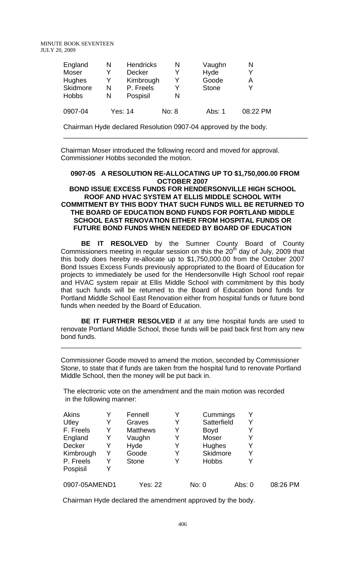MINUTE BOOK SEVENTEEN JULY 20, 2009

| England<br>Moser<br>Hughes<br>Skidmore<br><b>Hobbs</b> | N<br>Y<br>Y<br>N<br>N | <b>Hendricks</b><br>Decker<br>Kimbrough<br>P. Freels<br>Pospisil | N<br>v<br>N | Vaughn<br>Hyde<br>Goode<br><b>Stone</b> | N<br>А   |
|--------------------------------------------------------|-----------------------|------------------------------------------------------------------|-------------|-----------------------------------------|----------|
| 0907-04                                                | Yes: 14               |                                                                  | No: 8       | Abs: 1                                  | 08:22 PM |

Chairman Hyde declared Resolution 0907-04 approved by the body.

Chairman Moser introduced the following record and moved for approval. Commissioner Hobbs seconded the motion.

## **0907-05 A RESOLUTION RE-ALLOCATING UP TO \$1,750,000.00 FROM OCTOBER 2007**

\_\_\_\_\_\_\_\_\_\_\_\_\_\_\_\_\_\_\_\_\_\_\_\_\_\_\_\_\_\_\_\_\_\_\_\_\_\_\_\_\_\_\_\_\_\_\_\_\_\_\_\_\_\_\_\_\_\_\_\_\_\_\_\_\_

#### **BOND ISSUE EXCESS FUNDS FOR HENDERSONVILLE HIGH SCHOOL ROOF AND HVAC SYSTEM AT ELLIS MIDDLE SCHOOL WITH COMMITMENT BY THIS BODY THAT SUCH FUNDS WILL BE RETURNED TO THE BOARD OF EDUCATION BOND FUNDS FOR PORTLAND MIDDLE SCHOOL EAST RENOVATION EITHER FROM HOSPITAL FUNDS OR FUTURE BOND FUNDS WHEN NEEDED BY BOARD OF EDUCATION**

 **BE IT RESOLVED** by the Sumner County Board of County Commissioners meeting in regular session on this the  $20<sup>th</sup>$  day of July, 2009 that this body does hereby re-allocate up to \$1,750,000.00 from the October 2007 Bond Issues Excess Funds previously appropriated to the Board of Education for projects to immediately be used for the Hendersonville High School roof repair and HVAC system repair at Ellis Middle School with commitment by this body that such funds will be returned to the Board of Education bond funds for Portland Middle School East Renovation either from hospital funds or future bond funds when needed by the Board of Education.

**BE IT FURTHER RESOLVED** if at any time hospital funds are used to renovate Portland Middle School, those funds will be paid back first from any new bond funds.

\_\_\_\_\_\_\_\_\_\_\_\_\_\_\_\_\_\_\_\_\_\_\_\_\_\_\_\_\_\_\_\_\_\_\_\_\_\_\_\_\_\_\_\_\_\_\_\_\_\_\_\_\_\_\_\_\_\_\_\_\_\_\_\_

Commissioner Goode moved to amend the motion, seconded by Commissioner Stone, to state that if funds are taken from the hospital fund to renovate Portland Middle School, then the money will be put back in.

The electronic vote on the amendment and the main motion was recorded in the following manner:

| Akins         |   | Fennell         |   | Cummings     |        |          |
|---------------|---|-----------------|---|--------------|--------|----------|
| Utley         |   | Graves          |   | Satterfield  |        |          |
| F. Freels     | Y | <b>Matthews</b> |   | <b>Boyd</b>  |        |          |
| England       | Y | Vaughn          |   | Moser        |        |          |
| Decker        |   | Hyde            | Y | Hughes       |        |          |
| Kimbrough     | Y | Goode           |   | Skidmore     |        |          |
| P. Freels     | Y | <b>Stone</b>    |   | <b>Hobbs</b> |        |          |
| Pospisil      |   |                 |   |              |        |          |
| 0907-05AMEND1 |   | <b>Yes: 22</b>  |   | No: 0        | Abs: 0 | 08:26 PM |

Chairman Hyde declared the amendment approved by the body.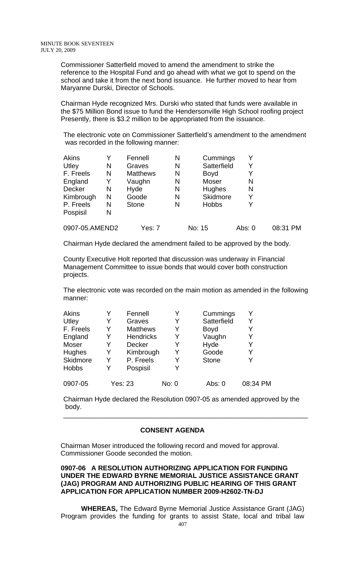Commissioner Satterfield moved to amend the amendment to strike the reference to the Hospital Fund and go ahead with what we got to spend on the school and take it from the next bond issuance. He further moved to hear from Maryanne Durski, Director of Schools.

Chairman Hyde recognized Mrs. Durski who stated that funds were available in the \$75 Million Bond issue to fund the Hendersonville High School roofing project Presently, there is \$3.2 million to be appropriated from the issuance.

The electronic vote on Commissioner Satterfield's amendment to the amendment was recorded in the following manner:

| <b>Akins</b>   |   | Fennell         | N | Cummings      |        |          |
|----------------|---|-----------------|---|---------------|--------|----------|
| Utley          | N | Graves          | N | Satterfield   |        |          |
| F. Freels      | N | <b>Matthews</b> | N | <b>Boyd</b>   |        |          |
| England        | Y | Vaughn          | N | Moser         | N      |          |
| Decker         | N | Hyde            | N | <b>Hughes</b> | N      |          |
| Kimbrough      | N | Goode           | N | Skidmore      | Y      |          |
| P. Freels      | N | <b>Stone</b>    | N | <b>Hobbs</b>  |        |          |
| Pospisil       | N |                 |   |               |        |          |
| 0907-05.AMEND2 |   | Yes: 7          |   | No: 15        | Abs: 0 | 08:31 PM |

Chairman Hyde declared the amendment failed to be approved by the body.

County Executive Holt reported that discussion was underway in Financial Management Committee to issue bonds that would cover both construction projects.

The electronic vote was recorded on the main motion as amended in the following manner:

| <b>Akins</b> |   | Fennell          | Y     | Cummings     |          |
|--------------|---|------------------|-------|--------------|----------|
| Utley        | Y | Graves           | Y     | Satterfield  |          |
| F. Freels    | Y | <b>Matthews</b>  | Y     | <b>Boyd</b>  |          |
| England      | Y | <b>Hendricks</b> | Y     | Vaughn       |          |
| Moser        | Y | <b>Decker</b>    | Y     | Hyde         | Y        |
| Hughes       | Y | Kimbrough        | Y     | Goode        |          |
| Skidmore     | Y | P. Freels        | Y     | <b>Stone</b> |          |
| <b>Hobbs</b> | Y | Pospisil         | Y     |              |          |
| 0907-05      |   | Yes: 23          | No: 0 | Abs: 0       | 08:34 PM |

Chairman Hyde declared the Resolution 0907-05 as amended approved by the body.

\_\_\_\_\_\_\_\_\_\_\_\_\_\_\_\_\_\_\_\_\_\_\_\_\_\_\_\_\_\_\_\_\_\_\_\_\_\_\_\_\_\_\_\_\_\_\_\_\_\_\_\_\_\_\_\_\_\_\_\_\_\_\_\_\_

## **CONSENT AGENDA**

 Chairman Moser introduced the following record and moved for approval. Commissioner Goode seconded the motion.

## **0907-06 A RESOLUTION AUTHORIZING APPLICATION FOR FUNDING UNDER THE EDWARD BYRNE MEMORIAL JUSTICE ASSISTANCE GRANT (JAG) PROGRAM AND AUTHORIZING PUBLIC HEARING OF THIS GRANT APPLICATION FOR APPLICATION NUMBER 2009-H2602-TN-DJ**

**WHEREAS,** The Edward Byrne Memorial Justice Assistance Grant (JAG) Program provides the funding for grants to assist State, local and tribal law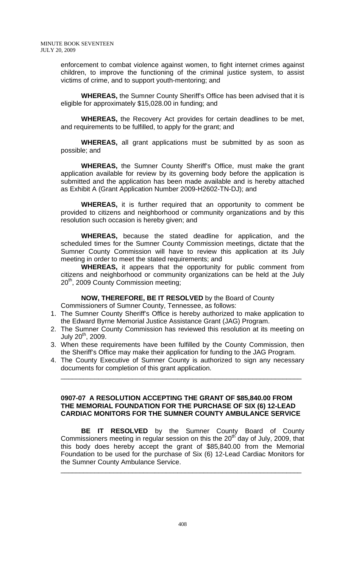enforcement to combat violence against women, to fight internet crimes against children, to improve the functioning of the criminal justice system, to assist victims of crime, and to support youth-mentoring; and

**WHEREAS,** the Sumner County Sheriff's Office has been advised that it is eligible for approximately \$15,028.00 in funding; and

**WHEREAS,** the Recovery Act provides for certain deadlines to be met, and requirements to be fulfilled, to apply for the grant; and

**WHEREAS,** all grant applications must be submitted by as soon as possible; and

**WHEREAS,** the Sumner County Sheriff's Office, must make the grant application available for review by its governing body before the application is submitted and the application has been made available and is hereby attached as Exhibit A (Grant Application Number 2009-H2602-TN-DJ); and

**WHEREAS,** it is further required that an opportunity to comment be provided to citizens and neighborhood or community organizations and by this resolution such occasion is hereby given; and

**WHEREAS,** because the stated deadline for application, and the scheduled times for the Sumner County Commission meetings, dictate that the Sumner County Commission will have to review this application at its July meeting in order to meet the stated requirements; and

**WHEREAS,** it appears that the opportunity for public comment from citizens and neighborhood or community organizations can be held at the July 20<sup>th</sup>, 2009 County Commission meeting;

**NOW, THEREFORE, BE IT RESOLVED** by the Board of County

Commissioners of Sumner County, Tennessee, as follows:

- 1. The Sumner County Sheriff's Office is hereby authorized to make application to the Edward Byrne Memorial Justice Assistance Grant (JAG) Program.
- 2. The Sumner County Commission has reviewed this resolution at its meeting on July 20<sup>th</sup>, 2009.
- 3. When these requirements have been fulfilled by the County Commission, then the Sheriff's Office may make their application for funding to the JAG Program.
- 4. The County Executive of Sumner County is authorized to sign any necessary documents for completion of this grant application.

\_\_\_\_\_\_\_\_\_\_\_\_\_\_\_\_\_\_\_\_\_\_\_\_\_\_\_\_\_\_\_\_\_\_\_\_\_\_\_\_\_\_\_\_\_\_\_\_\_\_\_\_\_\_\_\_\_\_\_\_\_\_\_\_

#### **0907-07 A RESOLUTION ACCEPTING THE GRANT OF \$85,840.00 FROM THE MEMORIAL FOUNDATION FOR THE PURCHASE OF SIX (6) 12-LEAD CARDIAC MONITORS FOR THE SUMNER COUNTY AMBULANCE SERVICE**

 **BE IT RESOLVED** by the Sumner County Board of County Commissioners meeting in regular session on this the 20<sup>th</sup> day of July, 2009, that this body does hereby accept the grant of \$85,840.00 from the Memorial Foundation to be used for the purchase of Six (6) 12-Lead Cardiac Monitors for the Sumner County Ambulance Service.

\_\_\_\_\_\_\_\_\_\_\_\_\_\_\_\_\_\_\_\_\_\_\_\_\_\_\_\_\_\_\_\_\_\_\_\_\_\_\_\_\_\_\_\_\_\_\_\_\_\_\_\_\_\_\_\_\_\_\_\_\_\_\_\_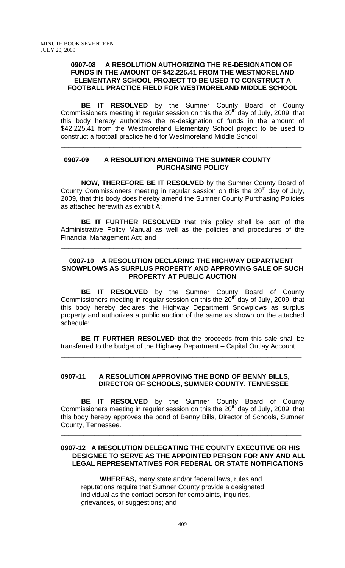#### **0907-08 A RESOLUTION AUTHORIZING THE RE-DESIGNATION OF FUNDS IN THE AMOUNT OF \$42,225.41 FROM THE WESTMORELAND ELEMENTARY SCHOOL PROJECT TO BE USED TO CONSTRUCT A FOOTBALL PRACTICE FIELD FOR WESTMORELAND MIDDLE SCHOOL**

 **BE IT RESOLVED** by the Sumner County Board of County Commissioners meeting in regular session on this the 20<sup>th</sup> day of July, 2009, that this body hereby authorizes the re-designation of funds in the amount of \$42,225.41 from the Westmoreland Elementary School project to be used to construct a football practice field for Westmoreland Middle School.

\_\_\_\_\_\_\_\_\_\_\_\_\_\_\_\_\_\_\_\_\_\_\_\_\_\_\_\_\_\_\_\_\_\_\_\_\_\_\_\_\_\_\_\_\_\_\_\_\_\_\_\_\_\_\_\_\_\_\_\_\_\_\_\_

#### **0907-09 A RESOLUTION AMENDING THE SUMNER COUNTY PURCHASING POLICY**

**NOW, THEREFORE BE IT RESOLVED** by the Sumner County Board of County Commissioners meeting in regular session on this the  $20<sup>th</sup>$  day of July, 2009, that this body does hereby amend the Sumner County Purchasing Policies as attached herewith as exhibit A:

**BE IT FURTHER RESOLVED** that this policy shall be part of the Administrative Policy Manual as well as the policies and procedures of the Financial Management Act; and

\_\_\_\_\_\_\_\_\_\_\_\_\_\_\_\_\_\_\_\_\_\_\_\_\_\_\_\_\_\_\_\_\_\_\_\_\_\_\_\_\_\_\_\_\_\_\_\_\_\_\_\_\_\_\_\_\_\_\_\_\_\_\_\_

## **0907-10 A RESOLUTION DECLARING THE HIGHWAY DEPARTMENT SNOWPLOWS AS SURPLUS PROPERTY AND APPROVING SALE OF SUCH PROPERTY AT PUBLIC AUCTION**

**BE IT RESOLVED** by the Sumner County Board of County Commissioners meeting in regular session on this the 20<sup>th</sup> day of July, 2009, that this body hereby declares the Highway Department Snowplows as surplus property and authorizes a public auction of the same as shown on the attached schedule:

**BE IT FURTHER RESOLVED** that the proceeds from this sale shall be transferred to the budget of the Highway Department – Capital Outlay Account.

\_\_\_\_\_\_\_\_\_\_\_\_\_\_\_\_\_\_\_\_\_\_\_\_\_\_\_\_\_\_\_\_\_\_\_\_\_\_\_\_\_\_\_\_\_\_\_\_\_\_\_\_\_\_\_\_\_\_\_\_\_\_\_\_

## **0907-11 A RESOLUTION APPROVING THE BOND OF BENNY BILLS, DIRECTOR OF SCHOOLS, SUMNER COUNTY, TENNESSEE**

 **BE IT RESOLVED** by the Sumner County Board of County Commissioners meeting in regular session on this the  $20<sup>th</sup>$  day of July, 2009, that this body hereby approves the bond of Benny Bills, Director of Schools, Sumner County, Tennessee.

\_\_\_\_\_\_\_\_\_\_\_\_\_\_\_\_\_\_\_\_\_\_\_\_\_\_\_\_\_\_\_\_\_\_\_\_\_\_\_\_\_\_\_\_\_\_\_\_\_\_\_\_\_\_\_\_\_\_\_\_\_\_\_\_

## **0907-12 A RESOLUTION DELEGATING THE COUNTY EXECUTIVE OR HIS DESIGNEE TO SERVE AS THE APPOINTED PERSON FOR ANY AND ALL LEGAL REPRESENTATIVES FOR FEDERAL OR STATE NOTIFICATIONS**

 **WHEREAS,** many state and/or federal laws, rules and reputations require that Sumner County provide a designated individual as the contact person for complaints, inquiries, grievances, or suggestions; and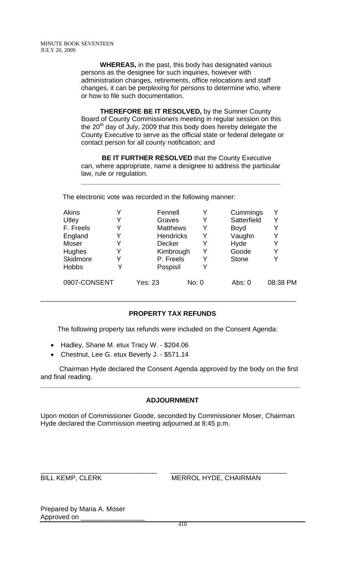**WHEREAS,** in the past, this body has designated various persons as the designee for such inquiries, however with administration changes, retirements, office relocations and staff changes, it can be perplexing for persons to determine who, where or how to file such documentation.

 **THEREFORE BE IT RESOLVED,** by the Sumner County Board of County Commissioners meeting in regular session on this the  $20<sup>th</sup>$  day of July, 2009 that this body does hereby delegate the County Executive to serve as the official state or federal delegate or contact person for all county notification; and

 **BE IT FURTHER RESOLVED** that the County Executive can, where appropriate, name a designee to address the particular law, rule or regulation.

**\_\_\_\_\_\_\_\_\_\_\_\_\_\_\_\_\_\_\_\_\_\_\_\_\_\_\_\_\_\_\_\_\_\_\_\_\_\_\_\_\_\_\_\_\_\_\_\_\_\_\_\_\_**

The electronic vote was recorded in the following manner:

| <b>Akins</b> |   | Fennell          |       | Cummings     |          |
|--------------|---|------------------|-------|--------------|----------|
| Utley        | v | Graves           |       | Satterfield  | v        |
| F. Freels    | Y | <b>Matthews</b>  |       | <b>Boyd</b>  | Y        |
| England      | Y | <b>Hendricks</b> |       | Vaughn       | Y        |
| Moser        | Y | Decker           |       | Hyde         | Y        |
| Hughes       | Y | Kimbrough        |       | Goode        | Y        |
| Skidmore     | Y | P. Freels        |       | <b>Stone</b> | Y        |
| <b>Hobbs</b> | Y | Pospisil         |       |              |          |
| 0907-CONSENT |   | Yes: 23          | No: 0 | Abs: 0       | 08:38 PM |

## **PROPERTY TAX REFUNDS**

\_\_\_\_\_\_\_\_\_\_\_\_\_\_\_\_\_\_\_\_\_\_\_\_\_\_\_\_\_\_\_\_\_\_\_\_\_\_\_\_\_\_\_\_\_\_\_\_\_\_\_\_\_\_\_\_\_\_\_\_\_\_\_\_\_\_\_\_

The following property tax refunds were included on the Consent Agenda:

- Hadley, Shane M. etux Tracy W. \$204.06
- Chestnut, Lee G. etux Beverly J. \$571.14

 Chairman Hyde declared the Consent Agenda approved by the body on the first and final reading. **\_\_\_\_\_\_\_\_\_\_\_\_\_\_\_\_\_\_\_\_\_\_\_\_\_\_\_\_\_\_\_\_\_\_\_\_\_\_\_\_\_\_\_\_\_\_\_\_\_\_\_\_\_\_\_\_\_\_\_\_\_\_\_\_\_\_\_\_\_** 

# **ADJOURNMENT**

Upon motion of Commissioner Goode, seconded by Commissioner Moser, Chairman Hyde declared the Commission meeting adjourned at 8:45 p.m.

\_\_\_\_\_\_\_\_\_\_\_\_\_\_\_\_\_\_\_\_\_\_\_\_\_\_\_\_\_\_\_ \_\_\_\_\_\_\_\_\_\_\_\_\_\_\_\_\_\_\_\_\_\_\_\_\_\_\_\_\_\_\_ BILL KEMP, CLERK MERROL HYDE, CHAIRMAN

Prepared by Maria A. Moser Approved on